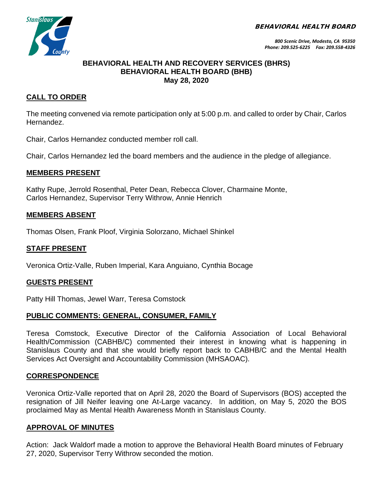BEHAVIORAL HEALTH BOARD



#### **BEHAVIORAL HEALTH AND RECOVERY SERVICES (BHRS) BEHAVIORAL HEALTH BOARD (BHB) May 28, 2020**

# **CALL TO ORDER**

The meeting convened via remote participation only at 5:00 p.m. and called to order by Chair, Carlos Hernandez.

Chair, Carlos Hernandez conducted member roll call.

Chair, Carlos Hernandez led the board members and the audience in the pledge of allegiance.

# **MEMBERS PRESENT**

Kathy Rupe, Jerrold Rosenthal, Peter Dean, Rebecca Clover, Charmaine Monte, Carlos Hernandez, Supervisor Terry Withrow, Annie Henrich

#### **MEMBERS ABSENT**

Thomas Olsen, Frank Ploof, Virginia Solorzano, Michael Shinkel

# **STAFF PRESENT**

Veronica Ortiz-Valle, Ruben Imperial, Kara Anguiano, Cynthia Bocage

#### **GUESTS PRESENT**

Patty Hill Thomas, Jewel Warr, Teresa Comstock

# **PUBLIC COMMENTS: GENERAL, CONSUMER, FAMILY**

Teresa Comstock, Executive Director of the California Association of Local Behavioral Health/Commission (CABHB/C) commented their interest in knowing what is happening in Stanislaus County and that she would briefly report back to CABHB/C and the Mental Health Services Act Oversight and Accountability Commission (MHSAOAC).

# **CORRESPONDENCE**

Veronica Ortiz-Valle reported that on April 28, 2020 the Board of Supervisors (BOS) accepted the resignation of Jill Neifer leaving one At-Large vacancy. In addition, on May 5, 2020 the BOS proclaimed May as Mental Health Awareness Month in Stanislaus County.

# **APPROVAL OF MINUTES**

Action: Jack Waldorf made a motion to approve the Behavioral Health Board minutes of February 27, 2020, Supervisor Terry Withrow seconded the motion.